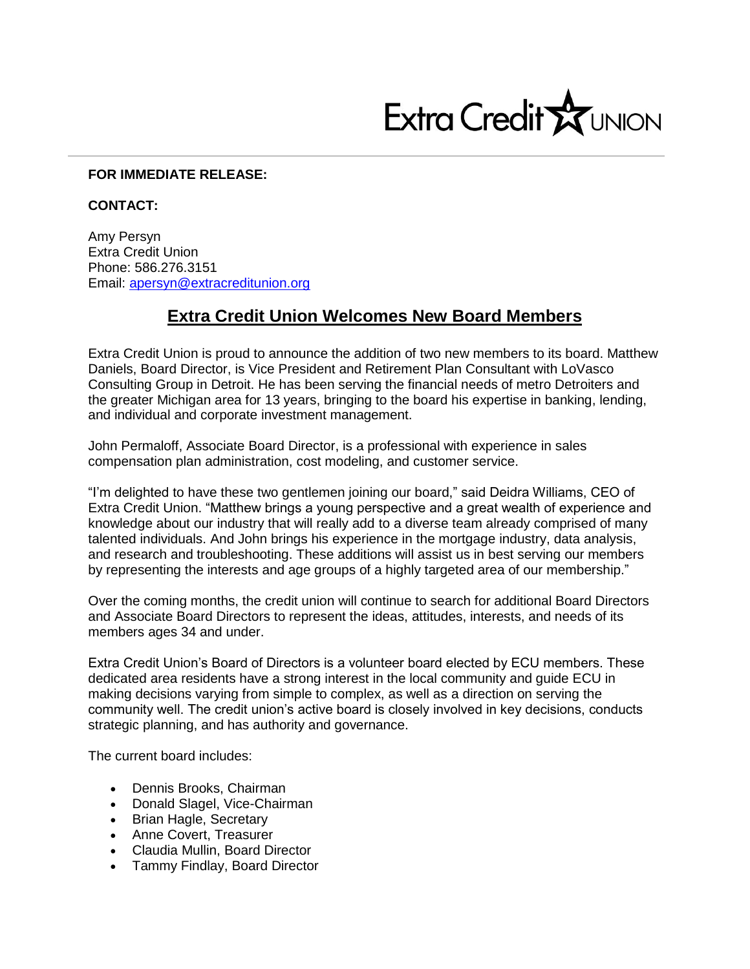

## **FOR IMMEDIATE RELEASE:**

## **CONTACT:**

Amy Persyn Extra Credit Union Phone: 586.276.3151 Email: [apersyn@extracreditunion.org](mailto:apersyn@extracreditunion.org)

## **Extra Credit Union Welcomes New Board Members**

Extra Credit Union is proud to announce the addition of two new members to its board. Matthew Daniels, Board Director, is Vice President and Retirement Plan Consultant with LoVasco Consulting Group in Detroit. He has been serving the financial needs of metro Detroiters and the greater Michigan area for 13 years, bringing to the board his expertise in banking, lending, and individual and corporate investment management.

John Permaloff, Associate Board Director, is a professional with experience in sales compensation plan administration, cost modeling, and customer service.

"I'm delighted to have these two gentlemen joining our board," said Deidra Williams, CEO of Extra Credit Union. "Matthew brings a young perspective and a great wealth of experience and knowledge about our industry that will really add to a diverse team already comprised of many talented individuals. And John brings his experience in the mortgage industry, data analysis, and research and troubleshooting. These additions will assist us in best serving our members by representing the interests and age groups of a highly targeted area of our membership."

Over the coming months, the credit union will continue to search for additional Board Directors and Associate Board Directors to represent the ideas, attitudes, interests, and needs of its members ages 34 and under.

Extra Credit Union's Board of Directors is a volunteer board elected by ECU members. These dedicated area residents have a strong interest in the local community and guide ECU in making decisions varying from simple to complex, as well as a direction on serving the community well. The credit union's active board is closely involved in key decisions, conducts strategic planning, and has authority and governance.

The current board includes:

- Dennis Brooks, Chairman
- Donald Slagel, Vice-Chairman
- Brian Hagle, Secretary
- Anne Covert, Treasurer
- Claudia Mullin, Board Director
- Tammy Findlay, Board Director